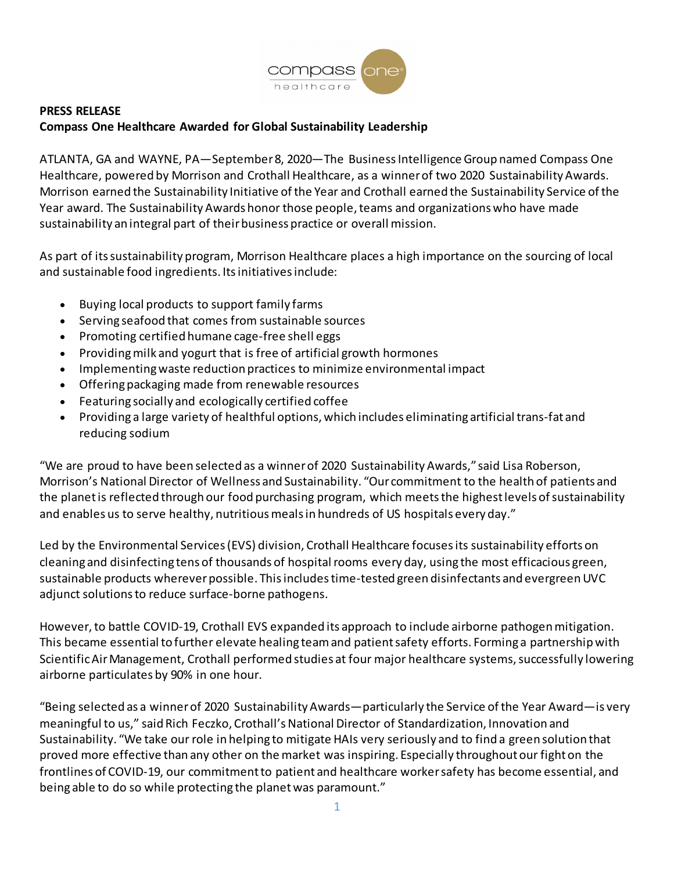

## **PRESS RELEASE Compass One Healthcare Awarded for Global Sustainability Leadership**

ATLANTA, GA and WAYNE, PA—September 8, 2020—The Business Intelligence Group named Compass One Healthcare, powered by Morrison and Crothall Healthcare, as a winner of two 2020 Sustainability Awards. Morrison earned the Sustainability Initiative of the Year and Crothall earned the Sustainability Service of the Year award. The Sustainability Awards honor those people, teams and organizations who have made sustainability an integral part of their business practice or overall mission.

As part of its sustainability program, Morrison Healthcare places a high importance on the sourcing of local and sustainable food ingredients. Its initiatives include:

- Buying local products to support family farms
- Serving seafood that comes from sustainable sources
- Promoting certified humane cage-free shell eggs
- Providing milk and yogurt that is free of artificial growth hormones
- Implementing waste reduction practices to minimize environmental impact
- Offering packaging made from renewable resources
- Featuring socially and ecologically certified coffee
- Providing a large variety of healthful options, which includes eliminating artificial trans-fat and reducing sodium

"We are proud to have been selected as a winner of 2020 Sustainability Awards," said Lisa Roberson, Morrison's National Director of Wellness and Sustainability. "Our commitment to the health of patients and the planet is reflected through our food purchasing program, which meets the highest levels of sustainability and enables us to serve healthy, nutritious meals in hundreds of US hospitals every day."

Led by the Environmental Services (EVS) division, Crothall Healthcare focuses its sustainability efforts on cleaning and disinfecting tens of thousands of hospital rooms every day, using the most efficacious green, sustainable products wherever possible. This includes time-tested green disinfectants and evergreen UVC adjunct solutions to reduce surface-borne pathogens.

However, to battle COVID-19, Crothall EVS expanded its approach to include airborne pathogen mitigation. This became essential to further elevate healing team and patient safety efforts. Forming a partnershipwith Scientific Air Management, Crothall performed studies at four major healthcare systems, successfully lowering airborne particulates by 90% in one hour.

"Being selected as a winner of 2020 Sustainability Awards—particularly the Service of the Year Award—is very meaningful to us," said Rich Feczko, Crothall's National Director of Standardization, Innovation and Sustainability. "We take our role in helping to mitigate HAIs very seriously and to find a green solution that proved more effective than any other on the market was inspiring. Especially throughout our fight on the frontlines of COVID-19, our commitment to patient and healthcare worker safety has become essential, and being able to do so while protecting the planet was paramount."